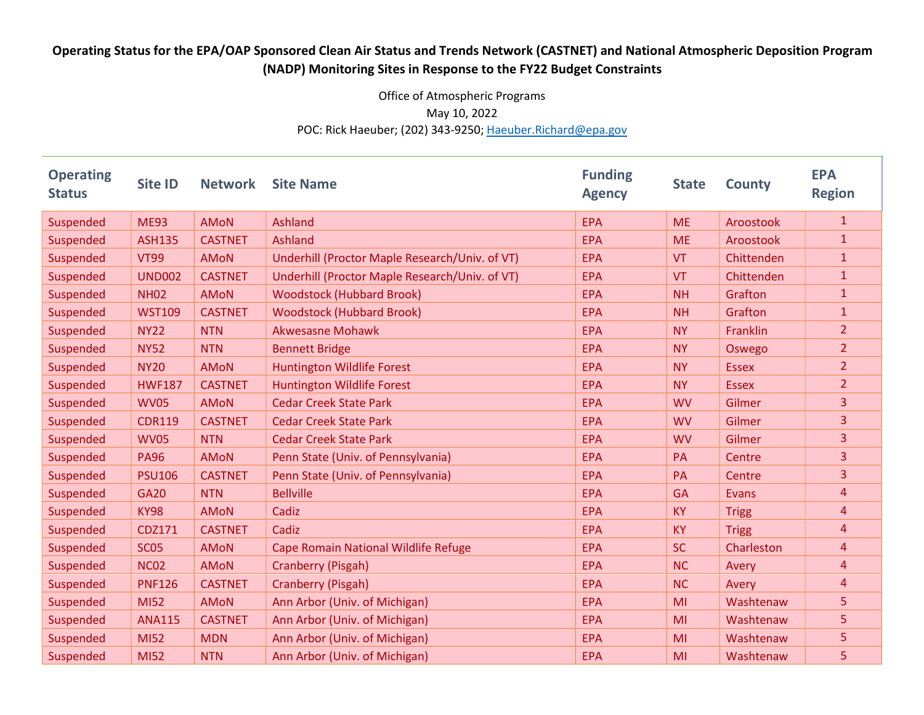## Operating Status for the EPA/OAP Sponsored Clean Air Status and Trends Network (CASTNET) and National Atmospheric Deposition Program (NADP) Monitoring Sites in Response to the FY22 Budget Constraints

## Office of Atmospheric Programs May 10, 2022 POC: Rick Haeuber; (202) 343-9250; Haeuber.Richard@epa.gov

| <b>Operating</b><br><b>Status</b> | <b>Site ID</b> | <b>Network</b> | <b>Site Name</b>                               | <b>Funding</b><br><b>Agency</b> | <b>State</b> | <b>County</b> | <b>EPA</b><br><b>Region</b> |
|-----------------------------------|----------------|----------------|------------------------------------------------|---------------------------------|--------------|---------------|-----------------------------|
| Suspended                         | <b>ME93</b>    | <b>AMON</b>    | Ashland                                        | <b>EPA</b>                      | <b>ME</b>    | Aroostook     | $\mathbf{1}$                |
| Suspended                         | <b>ASH135</b>  | <b>CASTNET</b> | <b>Ashland</b>                                 | <b>EPA</b>                      | <b>ME</b>    | Aroostook     | $\mathbf{1}$                |
| Suspended                         | <b>VT99</b>    | <b>AMON</b>    | Underhill (Proctor Maple Research/Univ. of VT) | <b>EPA</b>                      | <b>VT</b>    | Chittenden    | $\mathbf{1}$                |
| Suspended                         | <b>UND002</b>  | <b>CASTNET</b> | Underhill (Proctor Maple Research/Univ. of VT) | <b>EPA</b>                      | <b>VT</b>    | Chittenden    | $\mathbf{1}$                |
| Suspended                         | <b>NH02</b>    | AMON           | <b>Woodstock (Hubbard Brook)</b>               | <b>EPA</b>                      | <b>NH</b>    | Grafton       | $\mathbf{1}$                |
| Suspended                         | <b>WST109</b>  | <b>CASTNET</b> | <b>Woodstock (Hubbard Brook)</b>               | <b>EPA</b>                      | <b>NH</b>    | Grafton       | $\mathbf{1}$                |
| Suspended                         | <b>NY22</b>    | <b>NTN</b>     | <b>Akwesasne Mohawk</b>                        | <b>EPA</b>                      | <b>NY</b>    | Franklin      | $\overline{2}$              |
| Suspended                         | <b>NY52</b>    | <b>NTN</b>     | <b>Bennett Bridge</b>                          | <b>EPA</b>                      | <b>NY</b>    | Oswego        | $\overline{2}$              |
| Suspended                         | <b>NY20</b>    | <b>AMON</b>    | <b>Huntington Wildlife Forest</b>              | <b>EPA</b>                      | <b>NY</b>    | <b>Essex</b>  | $\overline{2}$              |
| Suspended                         | <b>HWF187</b>  | <b>CASTNET</b> | <b>Huntington Wildlife Forest</b>              | <b>EPA</b>                      | <b>NY</b>    | <b>Essex</b>  | $\overline{2}$              |
| Suspended                         | <b>WV05</b>    | <b>AMON</b>    | <b>Cedar Creek State Park</b>                  | <b>EPA</b>                      | <b>WV</b>    | Gilmer        | 3                           |
| Suspended                         | <b>CDR119</b>  | <b>CASTNET</b> | <b>Cedar Creek State Park</b>                  | <b>EPA</b>                      | <b>WV</b>    | Gilmer        | 3                           |
| Suspended                         | <b>WV05</b>    | <b>NTN</b>     | <b>Cedar Creek State Park</b>                  | <b>EPA</b>                      | <b>WV</b>    | Gilmer        | 3                           |
| Suspended                         | <b>PA96</b>    | <b>AMON</b>    | Penn State (Univ. of Pennsylvania)             | <b>EPA</b>                      | PA           | Centre        | 3                           |
| Suspended                         | <b>PSU106</b>  | <b>CASTNET</b> | Penn State (Univ. of Pennsylvania)             | <b>EPA</b>                      | PA           | Centre        | 3                           |
| Suspended                         | <b>GA20</b>    | <b>NTN</b>     | <b>Bellville</b>                               | <b>EPA</b>                      | <b>GA</b>    | <b>Evans</b>  | 4                           |
| Suspended                         | <b>KY98</b>    | <b>AMON</b>    | Cadiz                                          | <b>EPA</b>                      | <b>KY</b>    | <b>Trigg</b>  | $\overline{4}$              |
| Suspended                         | CDZ171         | <b>CASTNET</b> | Cadiz                                          | <b>EPA</b>                      | <b>KY</b>    | <b>Trigg</b>  | $\overline{4}$              |
| Suspended                         | <b>SC05</b>    | <b>AMON</b>    | Cape Romain National Wildlife Refuge           | <b>EPA</b>                      | <b>SC</b>    | Charleston    | $\overline{4}$              |
| Suspended                         | <b>NC02</b>    | <b>AMON</b>    | Cranberry (Pisgah)                             | <b>EPA</b>                      | <b>NC</b>    | Avery         | $\overline{4}$              |
| Suspended                         | <b>PNF126</b>  | <b>CASTNET</b> | <b>Cranberry (Pisgah)</b>                      | <b>EPA</b>                      | <b>NC</b>    | Avery         | 4                           |
| Suspended                         | <b>MI52</b>    | <b>AMON</b>    | Ann Arbor (Univ. of Michigan)                  | <b>EPA</b>                      | MI           | Washtenaw     | 5                           |
| Suspended                         | <b>ANA115</b>  | <b>CASTNET</b> | Ann Arbor (Univ. of Michigan)                  | <b>EPA</b>                      | MI           | Washtenaw     | 5                           |
| Suspended                         | <b>MI52</b>    | <b>MDN</b>     | Ann Arbor (Univ. of Michigan)                  | <b>EPA</b>                      | MI           | Washtenaw     | 5                           |
| Suspended                         | <b>MI52</b>    | <b>NTN</b>     | Ann Arbor (Univ. of Michigan)                  | <b>EPA</b>                      | MI           | Washtenaw     | 5                           |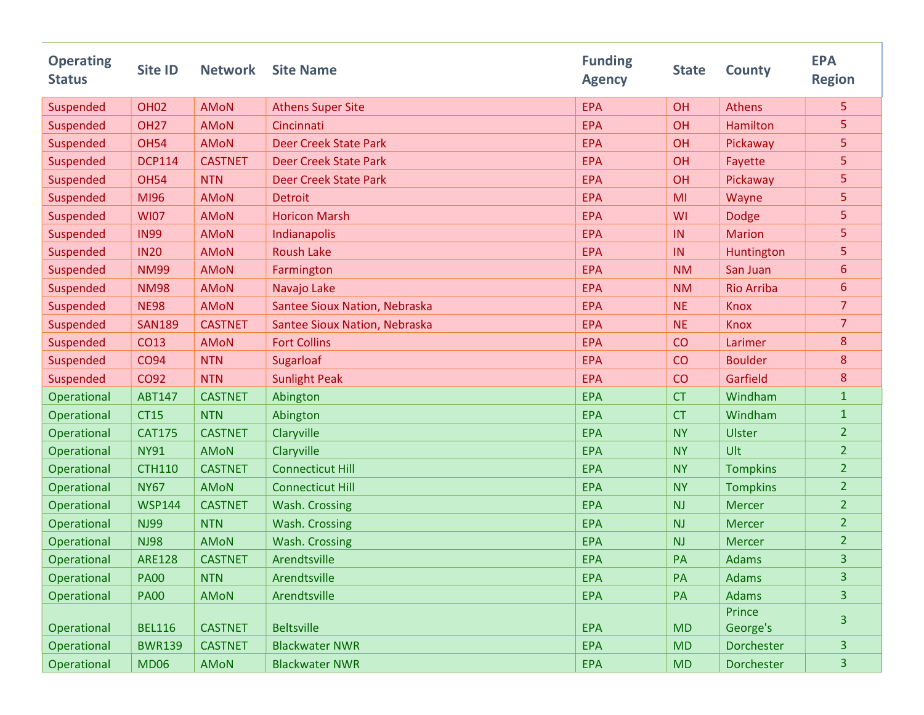| <b>Operating</b><br><b>Status</b> | <b>Site ID</b> | <b>Network</b> | <b>Site Name</b>              | <b>Funding</b><br><b>Agency</b> | <b>State</b> | <b>County</b>     | <b>EPA</b><br><b>Region</b> |
|-----------------------------------|----------------|----------------|-------------------------------|---------------------------------|--------------|-------------------|-----------------------------|
| Suspended                         | <b>OH02</b>    | <b>AMON</b>    | <b>Athens Super Site</b>      | <b>EPA</b>                      | OH           | <b>Athens</b>     | 5                           |
| Suspended                         | <b>OH27</b>    | <b>AMON</b>    | Cincinnati                    | <b>EPA</b>                      | OH           | Hamilton          | 5                           |
| Suspended                         | <b>OH54</b>    | <b>AMoN</b>    | <b>Deer Creek State Park</b>  | <b>EPA</b>                      | OH           | Pickaway          | 5                           |
| Suspended                         | <b>DCP114</b>  | <b>CASTNET</b> | <b>Deer Creek State Park</b>  | <b>EPA</b>                      | OH           | Fayette           | 5                           |
| Suspended                         | <b>OH54</b>    | <b>NTN</b>     | <b>Deer Creek State Park</b>  | <b>EPA</b>                      | OH           | Pickaway          | 5                           |
| Suspended                         | MI96           | <b>AMoN</b>    | <b>Detroit</b>                | <b>EPA</b>                      | MI           | Wayne             | 5                           |
| Suspended                         | <b>WI07</b>    | <b>AMON</b>    | <b>Horicon Marsh</b>          | <b>EPA</b>                      | WI           | <b>Dodge</b>      | 5                           |
| Suspended                         | <b>IN99</b>    | <b>AMoN</b>    | Indianapolis                  | <b>EPA</b>                      | IN           | <b>Marion</b>     | 5                           |
| Suspended                         | <b>IN20</b>    | <b>AMoN</b>    | <b>Roush Lake</b>             | <b>EPA</b>                      | IN           | Huntington        | 5                           |
| Suspended                         | <b>NM99</b>    | <b>AMON</b>    | Farmington                    | <b>EPA</b>                      | <b>NM</b>    | San Juan          | 6                           |
| Suspended                         | <b>NM98</b>    | <b>AMON</b>    | Navajo Lake                   | <b>EPA</b>                      | <b>NM</b>    | <b>Rio Arriba</b> | 6                           |
| Suspended                         | <b>NE98</b>    | <b>AMoN</b>    | Santee Sioux Nation, Nebraska | <b>EPA</b>                      | <b>NE</b>    | <b>Knox</b>       | $\overline{7}$              |
| Suspended                         | <b>SAN189</b>  | <b>CASTNET</b> | Santee Sioux Nation, Nebraska | <b>EPA</b>                      | <b>NE</b>    | <b>Knox</b>       | $\overline{7}$              |
| Suspended                         | CO13           | <b>AMoN</b>    | <b>Fort Collins</b>           | <b>EPA</b>                      | CO           | Larimer           | 8                           |
| Suspended                         | <b>CO94</b>    | <b>NTN</b>     | Sugarloaf                     | <b>EPA</b>                      | CO           | <b>Boulder</b>    | 8                           |
| Suspended                         | CO92           | <b>NTN</b>     | <b>Sunlight Peak</b>          | <b>EPA</b>                      | CO           | Garfield          | 8                           |
| Operational                       | <b>ABT147</b>  | <b>CASTNET</b> | Abington                      | <b>EPA</b>                      | <b>CT</b>    | Windham           | $\mathbf{1}$                |
| Operational                       | <b>CT15</b>    | <b>NTN</b>     | Abington                      | <b>EPA</b>                      | <b>CT</b>    | Windham           | $\mathbf{1}$                |
| Operational                       | <b>CAT175</b>  | <b>CASTNET</b> | Claryville                    | <b>EPA</b>                      | <b>NY</b>    | <b>Ulster</b>     | $\overline{2}$              |
| Operational                       | <b>NY91</b>    | <b>AMON</b>    | Claryville                    | <b>EPA</b>                      | <b>NY</b>    | Ult               | $\overline{2}$              |
| Operational                       | <b>CTH110</b>  | <b>CASTNET</b> | <b>Connecticut Hill</b>       | <b>EPA</b>                      | <b>NY</b>    | <b>Tompkins</b>   | $\overline{2}$              |
| Operational                       | <b>NY67</b>    | <b>AMON</b>    | <b>Connecticut Hill</b>       | <b>EPA</b>                      | <b>NY</b>    | <b>Tompkins</b>   | $\overline{2}$              |
| Operational                       | <b>WSP144</b>  | <b>CASTNET</b> | Wash. Crossing                | <b>EPA</b>                      | <b>NJ</b>    | <b>Mercer</b>     | $\overline{2}$              |
| Operational                       | <b>NJ99</b>    | <b>NTN</b>     | <b>Wash. Crossing</b>         | <b>EPA</b>                      | <b>NJ</b>    | <b>Mercer</b>     | $\overline{2}$              |
| Operational                       | <b>NJ98</b>    | <b>AMON</b>    | <b>Wash. Crossing</b>         | <b>EPA</b>                      | <b>NJ</b>    | <b>Mercer</b>     | $\overline{2}$              |
| Operational                       | <b>ARE128</b>  | <b>CASTNET</b> | Arendtsville                  | <b>EPA</b>                      | PA           | <b>Adams</b>      | 3                           |
| Operational                       | <b>PA00</b>    | <b>NTN</b>     | Arendtsville                  | <b>EPA</b>                      | PA           | <b>Adams</b>      | $\overline{3}$              |
| Operational                       | <b>PA00</b>    | <b>AMON</b>    | Arendtsville                  | <b>EPA</b>                      | PA           | Adams             | 3                           |
|                                   |                |                |                               |                                 |              | Prince            | $\overline{3}$              |
| Operational                       | <b>BEL116</b>  | <b>CASTNET</b> | <b>Beltsville</b>             | <b>EPA</b>                      | <b>MD</b>    | George's          |                             |
| Operational                       | <b>BWR139</b>  | <b>CASTNET</b> | <b>Blackwater NWR</b>         | <b>EPA</b>                      | <b>MD</b>    | Dorchester        | $\overline{3}$              |
| Operational                       | <b>MD06</b>    | AMON           | <b>Blackwater NWR</b>         | <b>EPA</b>                      | MD           | Dorchester        | $\overline{3}$              |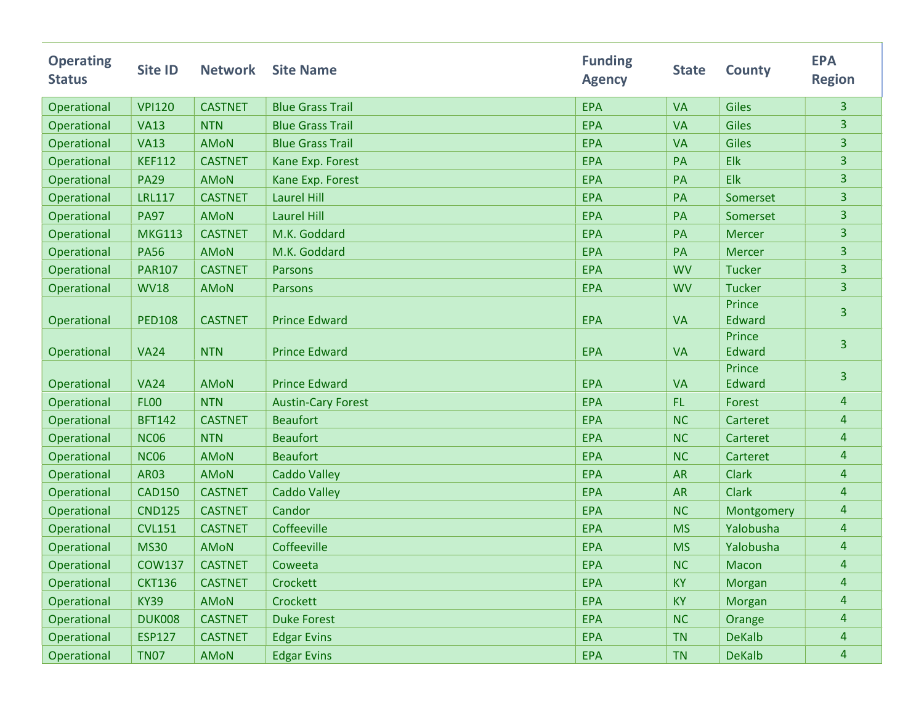| <b>Operating</b><br><b>Status</b> | <b>Site ID</b> | <b>Network</b> | <b>Site Name</b>          | <b>Funding</b><br><b>Agency</b> | <b>State</b> | <b>County</b>           | <b>EPA</b><br><b>Region</b> |
|-----------------------------------|----------------|----------------|---------------------------|---------------------------------|--------------|-------------------------|-----------------------------|
| Operational                       | <b>VPI120</b>  | <b>CASTNET</b> | <b>Blue Grass Trail</b>   | <b>EPA</b>                      | <b>VA</b>    | <b>Giles</b>            | $\overline{3}$              |
| Operational                       | <b>VA13</b>    | <b>NTN</b>     | <b>Blue Grass Trail</b>   | <b>EPA</b>                      | <b>VA</b>    | Giles                   | 3                           |
| Operational                       | <b>VA13</b>    | <b>AMON</b>    | <b>Blue Grass Trail</b>   | <b>EPA</b>                      | <b>VA</b>    | <b>Giles</b>            | 3                           |
| Operational                       | <b>KEF112</b>  | <b>CASTNET</b> | Kane Exp. Forest          | <b>EPA</b>                      | PA           | Elk                     | 3                           |
| Operational                       | <b>PA29</b>    | <b>AMON</b>    | Kane Exp. Forest          | <b>EPA</b>                      | PA           | <b>Elk</b>              | 3                           |
| Operational                       | <b>LRL117</b>  | <b>CASTNET</b> | <b>Laurel Hill</b>        | <b>EPA</b>                      | PA           | Somerset                | 3                           |
| Operational                       | <b>PA97</b>    | <b>AMON</b>    | <b>Laurel Hill</b>        | <b>EPA</b>                      | PA           | Somerset                | 3                           |
| Operational                       | <b>MKG113</b>  | <b>CASTNET</b> | M.K. Goddard              | <b>EPA</b>                      | PA           | <b>Mercer</b>           | 3                           |
| Operational                       | <b>PA56</b>    | <b>AMON</b>    | M.K. Goddard              | <b>EPA</b>                      | PA           | <b>Mercer</b>           | 3                           |
| Operational                       | <b>PAR107</b>  | <b>CASTNET</b> | Parsons                   | <b>EPA</b>                      | <b>WV</b>    | <b>Tucker</b>           | 3                           |
| Operational                       | <b>WV18</b>    | <b>AMON</b>    | Parsons                   | <b>EPA</b>                      | <b>WV</b>    | <b>Tucker</b>           | 3                           |
| Operational                       | <b>PED108</b>  | <b>CASTNET</b> | <b>Prince Edward</b>      | <b>EPA</b>                      | <b>VA</b>    | Prince<br>Edward        | 3                           |
| Operational                       | <b>VA24</b>    | <b>NTN</b>     | <b>Prince Edward</b>      | <b>EPA</b>                      | <b>VA</b>    | Prince<br><b>Edward</b> | $\overline{3}$              |
| Operational                       | <b>VA24</b>    | <b>AMON</b>    | <b>Prince Edward</b>      | <b>EPA</b>                      | <b>VA</b>    | Prince<br>Edward        | $\overline{3}$              |
| Operational                       | <b>FL00</b>    | <b>NTN</b>     | <b>Austin-Cary Forest</b> | <b>EPA</b>                      | FL.          | Forest                  | $\overline{4}$              |
| Operational                       | <b>BFT142</b>  | <b>CASTNET</b> | <b>Beaufort</b>           | <b>EPA</b>                      | <b>NC</b>    | Carteret                | $\overline{4}$              |
| Operational                       | <b>NC06</b>    | <b>NTN</b>     | <b>Beaufort</b>           | <b>EPA</b>                      | <b>NC</b>    | Carteret                | $\overline{4}$              |
| Operational                       | <b>NC06</b>    | <b>AMON</b>    | <b>Beaufort</b>           | <b>EPA</b>                      | <b>NC</b>    | Carteret                | $\overline{4}$              |
| Operational                       | <b>AR03</b>    | <b>AMON</b>    | <b>Caddo Valley</b>       | <b>EPA</b>                      | <b>AR</b>    | <b>Clark</b>            | $\overline{4}$              |
| Operational                       | <b>CAD150</b>  | <b>CASTNET</b> | <b>Caddo Valley</b>       | <b>EPA</b>                      | <b>AR</b>    | <b>Clark</b>            | $\overline{4}$              |
| Operational                       | <b>CND125</b>  | <b>CASTNET</b> | Candor                    | <b>EPA</b>                      | <b>NC</b>    | Montgomery              | $\overline{4}$              |
| Operational                       | <b>CVL151</b>  | <b>CASTNET</b> | Coffeeville               | <b>EPA</b>                      | <b>MS</b>    | Yalobusha               | 4                           |
| Operational                       | <b>MS30</b>    | <b>AMON</b>    | Coffeeville               | <b>EPA</b>                      | <b>MS</b>    | Yalobusha               | $\overline{4}$              |
| Operational                       | <b>COW137</b>  | <b>CASTNET</b> | Coweeta                   | <b>EPA</b>                      | <b>NC</b>    | Macon                   | 4                           |
| Operational                       | <b>CKT136</b>  | <b>CASTNET</b> | Crockett                  | <b>EPA</b>                      | <b>KY</b>    | Morgan                  | $\overline{a}$              |
| Operational                       | <b>KY39</b>    | AMON           | Crockett                  | <b>EPA</b>                      | <b>KY</b>    | Morgan                  | $\overline{a}$              |
| Operational                       | <b>DUK008</b>  | <b>CASTNET</b> | <b>Duke Forest</b>        | <b>EPA</b>                      | <b>NC</b>    | Orange                  | $\overline{a}$              |
| Operational                       | <b>ESP127</b>  | <b>CASTNET</b> | <b>Edgar Evins</b>        | <b>EPA</b>                      | <b>TN</b>    | <b>DeKalb</b>           | $\overline{4}$              |
| Operational                       | <b>TN07</b>    | <b>AMON</b>    | <b>Edgar Evins</b>        | <b>EPA</b>                      | <b>TN</b>    | <b>DeKalb</b>           | $\overline{4}$              |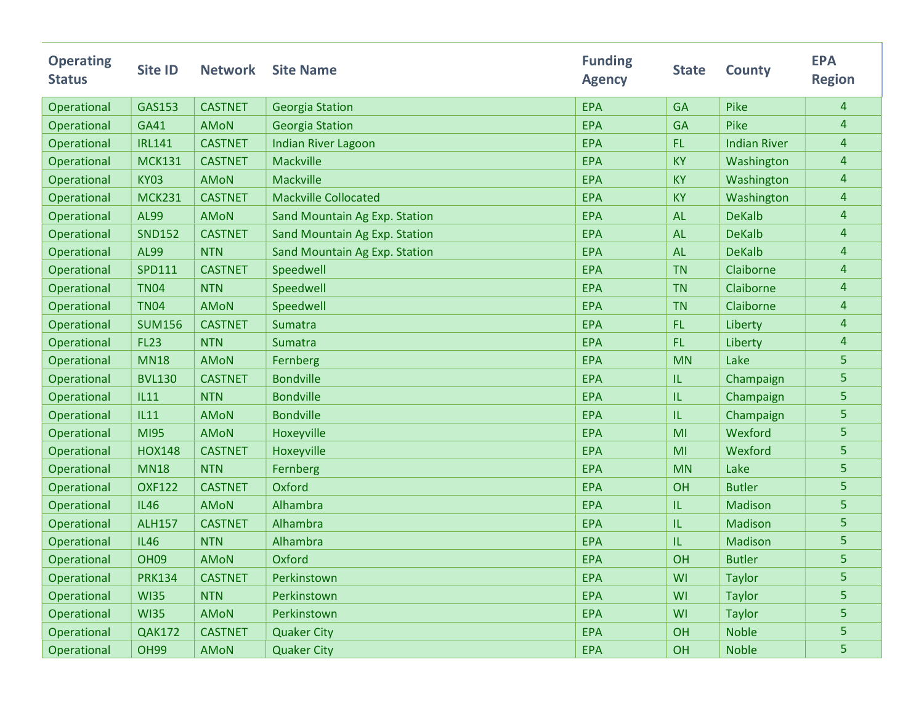| <b>Operating</b><br><b>Status</b> | Site ID       | <b>Network</b> | <b>Site Name</b>              | <b>Funding</b><br><b>Agency</b> | <b>State</b> | <b>County</b>       | <b>EPA</b><br><b>Region</b> |
|-----------------------------------|---------------|----------------|-------------------------------|---------------------------------|--------------|---------------------|-----------------------------|
| Operational                       | GAS153        | <b>CASTNET</b> | <b>Georgia Station</b>        | EPA                             | <b>GA</b>    | Pike                | $\overline{4}$              |
| Operational                       | <b>GA41</b>   | <b>AMON</b>    | <b>Georgia Station</b>        | <b>EPA</b>                      | <b>GA</b>    | Pike                | 4                           |
| Operational                       | <b>IRL141</b> | <b>CASTNET</b> | <b>Indian River Lagoon</b>    | <b>EPA</b>                      | <b>FL</b>    | <b>Indian River</b> | $\overline{4}$              |
| Operational                       | <b>MCK131</b> | <b>CASTNET</b> | Mackville                     | <b>EPA</b>                      | <b>KY</b>    | Washington          | $\overline{4}$              |
| Operational                       | <b>KY03</b>   | <b>AMoN</b>    | Mackville                     | <b>EPA</b>                      | <b>KY</b>    | Washington          | $\overline{4}$              |
| Operational                       | <b>MCK231</b> | <b>CASTNET</b> | <b>Mackville Collocated</b>   | <b>EPA</b>                      | <b>KY</b>    | Washington          | $\overline{4}$              |
| Operational                       | <b>AL99</b>   | <b>AMON</b>    | Sand Mountain Ag Exp. Station | EPA                             | <b>AL</b>    | <b>DeKalb</b>       | $\overline{4}$              |
| Operational                       | <b>SND152</b> | <b>CASTNET</b> | Sand Mountain Ag Exp. Station | <b>EPA</b>                      | <b>AL</b>    | <b>DeKalb</b>       | $\overline{4}$              |
| Operational                       | <b>AL99</b>   | <b>NTN</b>     | Sand Mountain Ag Exp. Station | <b>EPA</b>                      | <b>AL</b>    | <b>DeKalb</b>       | $\overline{4}$              |
| Operational                       | <b>SPD111</b> | <b>CASTNET</b> | Speedwell                     | <b>EPA</b>                      | <b>TN</b>    | Claiborne           | $\overline{4}$              |
| Operational                       | <b>TN04</b>   | <b>NTN</b>     | Speedwell                     | <b>EPA</b>                      | <b>TN</b>    | Claiborne           | $\overline{4}$              |
| Operational                       | <b>TN04</b>   | <b>AMON</b>    | Speedwell                     | <b>EPA</b>                      | <b>TN</b>    | Claiborne           | 4                           |
| Operational                       | <b>SUM156</b> | <b>CASTNET</b> | Sumatra                       | <b>EPA</b>                      | <b>FL</b>    | Liberty             | $\overline{4}$              |
| Operational                       | <b>FL23</b>   | <b>NTN</b>     | Sumatra                       | EPA                             | FL.          | Liberty             | $\overline{4}$              |
| Operational                       | <b>MN18</b>   | <b>AMoN</b>    | Fernberg                      | <b>EPA</b>                      | <b>MN</b>    | Lake                | 5                           |
| Operational                       | <b>BVL130</b> | <b>CASTNET</b> | <b>Bondville</b>              | <b>EPA</b>                      | IL           | Champaign           | 5                           |
| Operational                       | <b>IL11</b>   | <b>NTN</b>     | <b>Bondville</b>              | <b>EPA</b>                      | IL           | Champaign           | 5                           |
| Operational                       | <b>IL11</b>   | <b>AMON</b>    | <b>Bondville</b>              | <b>EPA</b>                      | IL           | Champaign           | 5                           |
| Operational                       | <b>MI95</b>   | <b>AMON</b>    | Hoxeyville                    | <b>EPA</b>                      | MI           | Wexford             | 5                           |
| Operational                       | <b>HOX148</b> | <b>CASTNET</b> | Hoxeyville                    | <b>EPA</b>                      | MI           | Wexford             | 5                           |
| Operational                       | <b>MN18</b>   | <b>NTN</b>     | Fernberg                      | <b>EPA</b>                      | <b>MN</b>    | Lake                | 5                           |
| Operational                       | <b>OXF122</b> | <b>CASTNET</b> | Oxford                        | <b>EPA</b>                      | OH           | <b>Butler</b>       | 5                           |
| Operational                       | <b>IL46</b>   | <b>AMON</b>    | Alhambra                      | <b>EPA</b>                      | IL           | Madison             | 5                           |
| Operational                       | <b>ALH157</b> | <b>CASTNET</b> | Alhambra                      | <b>EPA</b>                      | IL           | <b>Madison</b>      | 5                           |
| Operational                       | <b>IL46</b>   | <b>NTN</b>     | Alhambra                      | <b>EPA</b>                      | IL           | Madison             | 5                           |
| Operational                       | <b>OH09</b>   | <b>AMoN</b>    | Oxford                        | <b>EPA</b>                      | OH           | <b>Butler</b>       | 5                           |
| Operational                       | <b>PRK134</b> | <b>CASTNET</b> | Perkinstown                   | <b>EPA</b>                      | WI           | <b>Taylor</b>       | 5                           |
| Operational                       | <b>WI35</b>   | <b>NTN</b>     | Perkinstown                   | <b>EPA</b>                      | WI           | <b>Taylor</b>       | 5                           |
| Operational                       | <b>WI35</b>   | <b>AMON</b>    | Perkinstown                   | <b>EPA</b>                      | WI           | <b>Taylor</b>       | 5                           |
| Operational                       | <b>QAK172</b> | <b>CASTNET</b> | <b>Quaker City</b>            | <b>EPA</b>                      | OH           | <b>Noble</b>        | 5                           |
| Operational                       | <b>OH99</b>   | <b>AMON</b>    | <b>Quaker City</b>            | EPA                             | OH           | <b>Noble</b>        | 5                           |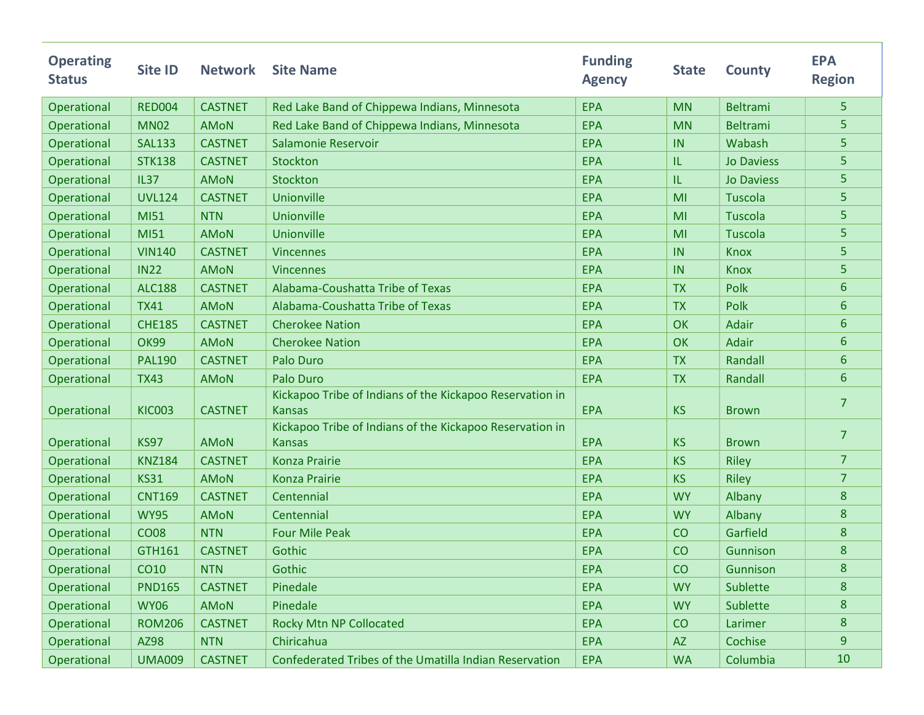| <b>Operating</b><br><b>Status</b> | Site ID       | <b>Network</b> | <b>Site Name</b>                                                          | <b>Funding</b><br><b>Agency</b> | <b>State</b> | <b>County</b>     | <b>EPA</b><br><b>Region</b> |
|-----------------------------------|---------------|----------------|---------------------------------------------------------------------------|---------------------------------|--------------|-------------------|-----------------------------|
| Operational                       | <b>RED004</b> | <b>CASTNET</b> | Red Lake Band of Chippewa Indians, Minnesota                              | <b>EPA</b>                      | <b>MN</b>    | <b>Beltrami</b>   | 5                           |
| Operational                       | <b>MN02</b>   | <b>AMON</b>    | Red Lake Band of Chippewa Indians, Minnesota                              | <b>EPA</b>                      | <b>MN</b>    | <b>Beltrami</b>   | 5                           |
| Operational                       | <b>SAL133</b> | <b>CASTNET</b> | Salamonie Reservoir                                                       | <b>EPA</b>                      | IN           | Wabash            | 5                           |
| Operational                       | <b>STK138</b> | <b>CASTNET</b> | Stockton                                                                  | <b>EPA</b>                      | IL           | <b>Jo Daviess</b> | 5                           |
| Operational                       | <b>IL37</b>   | <b>AMON</b>    | Stockton                                                                  | <b>EPA</b>                      | IL           | <b>Jo Daviess</b> | 5                           |
| Operational                       | <b>UVL124</b> | <b>CASTNET</b> | Unionville                                                                | <b>EPA</b>                      | MI           | <b>Tuscola</b>    | 5                           |
| Operational                       | MI51          | <b>NTN</b>     | Unionville                                                                | <b>EPA</b>                      | MI           | <b>Tuscola</b>    | 5                           |
| Operational                       | MI51          | <b>AMON</b>    | Unionville                                                                | <b>EPA</b>                      | MI           | <b>Tuscola</b>    | 5                           |
| Operational                       | <b>VIN140</b> | <b>CASTNET</b> | <b>Vincennes</b>                                                          | <b>EPA</b>                      | IN           | <b>Knox</b>       | 5                           |
| Operational                       | <b>IN22</b>   | <b>AMON</b>    | <b>Vincennes</b>                                                          | <b>EPA</b>                      | IN           | <b>Knox</b>       | 5                           |
| Operational                       | <b>ALC188</b> | <b>CASTNET</b> | Alabama-Coushatta Tribe of Texas                                          | <b>EPA</b>                      | <b>TX</b>    | Polk              | 6                           |
| Operational                       | <b>TX41</b>   | <b>AMON</b>    | Alabama-Coushatta Tribe of Texas                                          | <b>EPA</b>                      | <b>TX</b>    | Polk              | 6                           |
| Operational                       | <b>CHE185</b> | <b>CASTNET</b> | <b>Cherokee Nation</b>                                                    | <b>EPA</b>                      | OK           | <b>Adair</b>      | 6                           |
| Operational                       | <b>OK99</b>   | <b>AMON</b>    | <b>Cherokee Nation</b>                                                    | <b>EPA</b>                      | OK           | <b>Adair</b>      | 6                           |
| Operational                       | <b>PAL190</b> | <b>CASTNET</b> | Palo Duro                                                                 | <b>EPA</b>                      | <b>TX</b>    | Randall           | 6                           |
| Operational                       | <b>TX43</b>   | <b>AMON</b>    | Palo Duro                                                                 | <b>EPA</b>                      | <b>TX</b>    | Randall           | 6                           |
| Operational                       | <b>KIC003</b> | <b>CASTNET</b> | Kickapoo Tribe of Indians of the Kickapoo Reservation in<br><b>Kansas</b> | <b>EPA</b>                      | <b>KS</b>    | <b>Brown</b>      | 7                           |
| Operational                       | <b>KS97</b>   | <b>AMON</b>    | Kickapoo Tribe of Indians of the Kickapoo Reservation in<br><b>Kansas</b> | <b>EPA</b>                      | <b>KS</b>    | <b>Brown</b>      | $\overline{7}$              |
| Operational                       | <b>KNZ184</b> | <b>CASTNET</b> | <b>Konza Prairie</b>                                                      | <b>EPA</b>                      | <b>KS</b>    | <b>Riley</b>      | $\overline{7}$              |
| Operational                       | <b>KS31</b>   | <b>AMON</b>    | <b>Konza Prairie</b>                                                      | <b>EPA</b>                      | <b>KS</b>    | <b>Riley</b>      | $\overline{7}$              |
| Operational                       | <b>CNT169</b> | <b>CASTNET</b> | Centennial                                                                | <b>EPA</b>                      | <b>WY</b>    | Albany            | 8                           |
| Operational                       | <b>WY95</b>   | <b>AMON</b>    | Centennial                                                                | <b>EPA</b>                      | <b>WY</b>    | Albany            | 8                           |
| Operational                       | <b>CO08</b>   | <b>NTN</b>     | <b>Four Mile Peak</b>                                                     | <b>EPA</b>                      | CO           | Garfield          | 8                           |
| Operational                       | <b>GTH161</b> | <b>CASTNET</b> | Gothic                                                                    | <b>EPA</b>                      | CO           | Gunnison          | 8                           |
| Operational                       | <b>CO10</b>   | <b>NTN</b>     | Gothic                                                                    | <b>EPA</b>                      | CO           | Gunnison          | 8                           |
| Operational                       | <b>PND165</b> | <b>CASTNET</b> | Pinedale                                                                  | <b>EPA</b>                      | <b>WY</b>    | Sublette          | 8                           |
| Operational                       | <b>WY06</b>   | <b>AMON</b>    | Pinedale                                                                  | <b>EPA</b>                      | <b>WY</b>    | Sublette          | 8                           |
| Operational                       | <b>ROM206</b> | <b>CASTNET</b> | Rocky Mtn NP Collocated                                                   | <b>EPA</b>                      | CO           | Larimer           | 8                           |
| Operational                       | AZ98          | <b>NTN</b>     | Chiricahua                                                                | <b>EPA</b>                      | <b>AZ</b>    | Cochise           | $\boldsymbol{9}$            |
| Operational                       | <b>UMA009</b> | <b>CASTNET</b> | Confederated Tribes of the Umatilla Indian Reservation                    | <b>EPA</b>                      | <b>WA</b>    | Columbia          | 10                          |